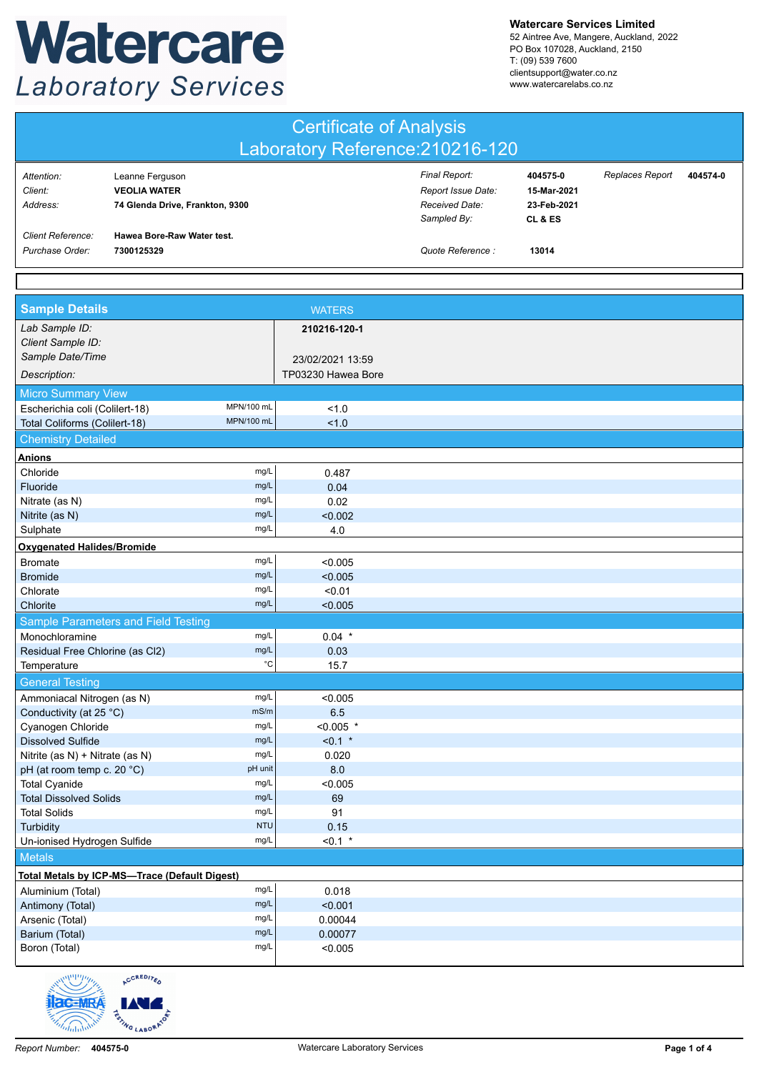## Watercare **Laboratory Services**

**Watercare Services Limited**

52 Aintree Ave, Mangere, Auckland, 2022 PO Box 107028, Auckland, 2150 T: (09) 539 7600 clientsupport@water.co.nz www.watercarelabs.co.nz

| <b>Certificate of Analysis</b><br>Laboratory Reference: 210216-120 |                                                                           |             |                                        |                                                                      |                                                   |                 |          |  |  |
|--------------------------------------------------------------------|---------------------------------------------------------------------------|-------------|----------------------------------------|----------------------------------------------------------------------|---------------------------------------------------|-----------------|----------|--|--|
| Attention:<br>Client:<br>Address:                                  | Leanne Ferguson<br><b>VEOLIA WATER</b><br>74 Glenda Drive, Frankton, 9300 |             |                                        | Final Report:<br>Report Issue Date:<br>Received Date:<br>Sampled By: | 404575-0<br>15-Mar-2021<br>23-Feb-2021<br>CL & ES | Replaces Report | 404574-0 |  |  |
| <b>Client Reference:</b><br>Purchase Order:                        | Hawea Bore-Raw Water test.<br>7300125329                                  |             |                                        | Quote Reference :                                                    | 13014                                             |                 |          |  |  |
|                                                                    |                                                                           |             |                                        |                                                                      |                                                   |                 |          |  |  |
| <b>Sample Details</b>                                              |                                                                           |             | <b>WATERS</b>                          |                                                                      |                                                   |                 |          |  |  |
| Lab Sample ID:<br>Client Sample ID:                                |                                                                           |             | 210216-120-1                           |                                                                      |                                                   |                 |          |  |  |
| Sample Date/Time<br>Description:                                   |                                                                           |             | 23/02/2021 13:59<br>TP03230 Hawea Bore |                                                                      |                                                   |                 |          |  |  |
| <b>Micro Summary View</b>                                          |                                                                           |             |                                        |                                                                      |                                                   |                 |          |  |  |
| MPN/100 mL<br>Escherichia coli (Colilert-18)                       |                                                                           | 1.0         |                                        |                                                                      |                                                   |                 |          |  |  |
| MPN/100 mL<br>Total Coliforms (Colilert-18)                        |                                                                           | 1.0         |                                        |                                                                      |                                                   |                 |          |  |  |
| <b>Chemistry Detailed</b>                                          |                                                                           |             |                                        |                                                                      |                                                   |                 |          |  |  |
| <b>Anions</b>                                                      |                                                                           |             |                                        |                                                                      |                                                   |                 |          |  |  |
| Chloride                                                           |                                                                           | mg/L        | 0.487                                  |                                                                      |                                                   |                 |          |  |  |
| Fluoride                                                           |                                                                           | mg/L        | 0.04                                   |                                                                      |                                                   |                 |          |  |  |
| mg/L<br>Nitrate (as N)                                             |                                                                           | 0.02        |                                        |                                                                      |                                                   |                 |          |  |  |
| mg/L<br>Nitrite (as N)                                             |                                                                           | < 0.002     |                                        |                                                                      |                                                   |                 |          |  |  |
| Sulphate                                                           |                                                                           | mg/L        | 4.0                                    |                                                                      |                                                   |                 |          |  |  |
| <b>Oxygenated Halides/Bromide</b>                                  |                                                                           |             |                                        |                                                                      |                                                   |                 |          |  |  |
| <b>Bromate</b>                                                     |                                                                           | mg/L        | < 0.005                                |                                                                      |                                                   |                 |          |  |  |
| <b>Bromide</b>                                                     |                                                                           | mg/L        | < 0.005                                |                                                                      |                                                   |                 |          |  |  |
| Chlorate                                                           |                                                                           | mg/L        | < 0.01                                 |                                                                      |                                                   |                 |          |  |  |
| Chlorite                                                           |                                                                           | mg/L        | < 0.005                                |                                                                      |                                                   |                 |          |  |  |
|                                                                    | Sample Parameters and Field Testing                                       |             |                                        |                                                                      |                                                   |                 |          |  |  |
| Monochloramine                                                     |                                                                           | mg/L        | $0.04$ *                               |                                                                      |                                                   |                 |          |  |  |
| mg/L<br>Residual Free Chlorine (as Cl2)                            |                                                                           | 0.03        |                                        |                                                                      |                                                   |                 |          |  |  |
| $^{\circ}{\rm C}$<br>Temperature                                   |                                                                           | 15.7        |                                        |                                                                      |                                                   |                 |          |  |  |
| <b>General Testing</b>                                             |                                                                           |             |                                        |                                                                      |                                                   |                 |          |  |  |
| Ammoniacal Nitrogen (as N)                                         |                                                                           | mg/L        | < 0.005                                |                                                                      |                                                   |                 |          |  |  |
| mS/m<br>Conductivity (at 25 °C)                                    |                                                                           | 6.5         |                                        |                                                                      |                                                   |                 |          |  |  |
| mg/L<br>Cyanogen Chloride                                          |                                                                           | $< 0.005$ * |                                        |                                                                      |                                                   |                 |          |  |  |

## Un-ionised Hydrogen Sulfide mg/L <0.1 \* **Metals Total Metals by ICP-MS—Trace (Default Digest)** Aluminium (Total) mg/L mg/L 0.018 Antimony (Total) mg/L  $mg/L$  <0.001 Arsenic (Total) mg/L 0.00044 Barium (Total) mg/L  $mg/L$  0.00077 Boron (Total) mg/L  $mg/L$  <0.005



Cyanogen Chloride mg/L  $\leftarrow$  0.005 \*<br>Dissolved Sulfide mg/L  $\leftarrow$  0.1 \* Dissolved Sulfide mg/L mg/L  $\sim$  0.1  $^*$ Nitrite (as N) + Nitrate (as N) mg/L  $mg/L$  0.020  $pH$  (at room temp c. 20 °C) pH unit pH unit Total Cyanide mg/L <0.005 Total Dissolved Solids mg/L 69 Total Solids mg/L 91 Turbidity 0.15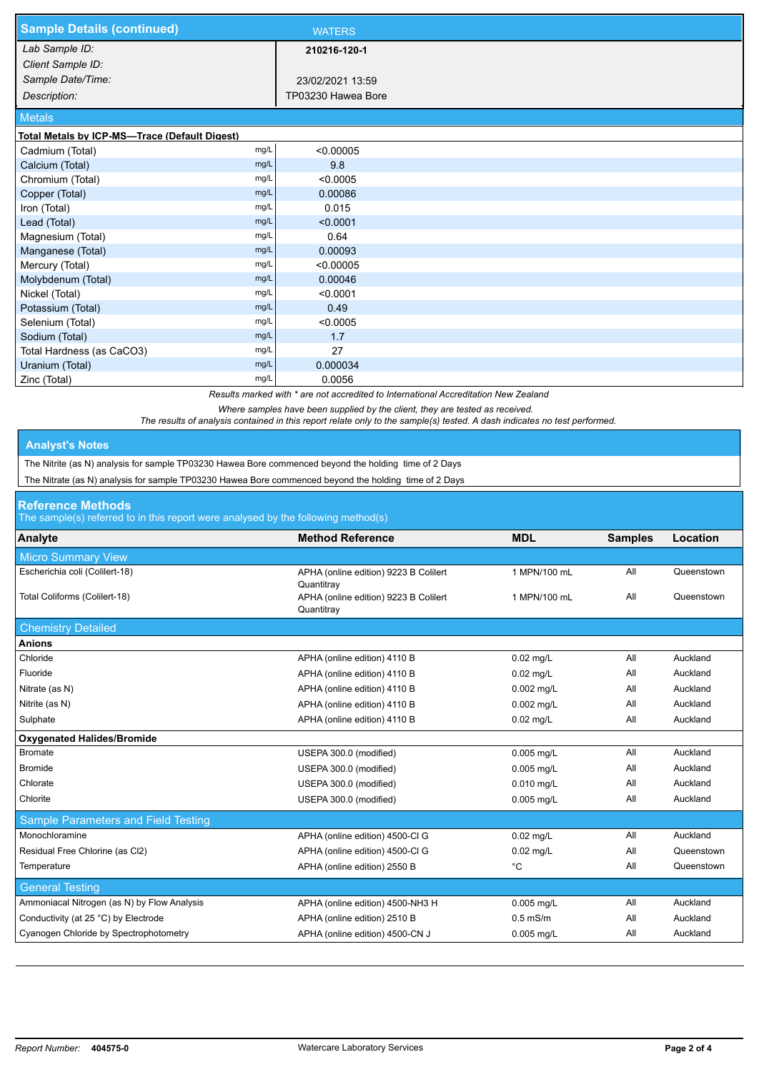| <b>Sample Details (continued)</b>             |      | <b>WATERS</b>      |
|-----------------------------------------------|------|--------------------|
| Lab Sample ID:                                |      | 210216-120-1       |
| Client Sample ID:                             |      |                    |
| Sample Date/Time:                             |      | 23/02/2021 13:59   |
| Description:                                  |      | TP03230 Hawea Bore |
| <b>Metals</b>                                 |      |                    |
| Total Metals by ICP-MS-Trace (Default Digest) |      |                    |
| Cadmium (Total)                               | mg/L | < 0.00005          |
| Calcium (Total)                               | mg/L | 9.8                |
| Chromium (Total)                              | mg/L | < 0.0005           |
| Copper (Total)                                | mg/L | 0.00086            |
| Iron (Total)                                  | mg/L | 0.015              |
| Lead (Total)                                  | mg/L | < 0.0001           |
| Magnesium (Total)                             | mg/L | 0.64               |
| Manganese (Total)                             | mg/L | 0.00093            |
| Mercury (Total)                               | mg/L | < 0.00005          |
| Molybdenum (Total)                            | mg/L | 0.00046            |
| Nickel (Total)                                | mg/L | < 0.0001           |
| Potassium (Total)                             | mg/L | 0.49               |
| Selenium (Total)                              | mg/L | < 0.0005           |
| Sodium (Total)                                | mg/L | 1.7                |
| Total Hardness (as CaCO3)                     | mg/L | 27                 |
| Uranium (Total)                               | mg/L | 0.000034           |
| Zinc (Total)                                  | mg/L | 0.0056             |

*Results marked with \* are not accredited to International Accreditation New Zealand*

*Where samples have been supplied by the client, they are tested as received.* 

*The results of analysis contained in this report relate only to the sample(s) tested. A dash indicates no test performed.*

## **Analyst's Notes**

The Nitrite (as N) analysis for sample TP03230 Hawea Bore commenced beyond the holding time of 2 Days

The Nitrate (as N) analysis for sample TP03230 Hawea Bore commenced beyond the holding time of 2 Days

## **Reference Methods**

The sample(s) referred to in this report were analysed by the following method(s)

| <b>Micro Summary View</b><br>Escherichia coli (Colilert-18)<br>All<br>APHA (online edition) 9223 B Colilert<br>1 MPN/100 mL<br>Quantitray | Queenstown<br>Queenstown |
|-------------------------------------------------------------------------------------------------------------------------------------------|--------------------------|
|                                                                                                                                           |                          |
|                                                                                                                                           |                          |
| Total Coliforms (Colilert-18)<br>APHA (online edition) 9223 B Colilert<br>All<br>1 MPN/100 mL<br>Quantitray                               |                          |
| <b>Chemistry Detailed</b>                                                                                                                 |                          |
| <b>Anions</b>                                                                                                                             |                          |
| Chloride<br>All<br>APHA (online edition) 4110 B<br>$0.02$ mg/L                                                                            | Auckland                 |
| Fluoride<br>All<br>APHA (online edition) 4110 B<br>$0.02$ mg/L                                                                            | Auckland                 |
| All<br>Nitrate (as N)<br>APHA (online edition) 4110 B<br>0.002 mg/L                                                                       | Auckland                 |
| Nitrite (as N)<br>All<br>APHA (online edition) 4110 B<br>0.002 mg/L                                                                       | Auckland                 |
| Sulphate<br>All<br>APHA (online edition) 4110 B<br>$0.02$ mg/L                                                                            | Auckland                 |
| <b>Oxygenated Halides/Bromide</b>                                                                                                         |                          |
| <b>Bromate</b><br>All<br>USEPA 300.0 (modified)<br>0.005 mg/L                                                                             | Auckland                 |
| <b>Bromide</b><br>All<br>USEPA 300.0 (modified)<br>0.005 mg/L                                                                             | Auckland                 |
| Chlorate<br>All<br>USEPA 300.0 (modified)<br>0.010 mg/L                                                                                   | Auckland                 |
| Chlorite<br>All<br>USEPA 300.0 (modified)<br>0.005 mg/L                                                                                   | Auckland                 |
| Sample Parameters and Field Testing                                                                                                       |                          |
| Monochloramine<br>All<br>APHA (online edition) 4500-Cl G<br>$0.02$ mg/L                                                                   | Auckland                 |
| Residual Free Chlorine (as Cl2)<br>All<br>APHA (online edition) 4500-Cl G<br>$0.02$ mg/L                                                  | Queenstown               |
| Temperature<br>APHA (online edition) 2550 B<br>$^{\circ}$ C<br>All                                                                        | Queenstown               |
| <b>General Testing</b>                                                                                                                    |                          |
| Ammoniacal Nitrogen (as N) by Flow Analysis<br>All<br>APHA (online edition) 4500-NH3 H<br>0.005 mg/L                                      | Auckland                 |
| Conductivity (at 25 °C) by Electrode<br>All<br>APHA (online edition) 2510 B<br>$0.5$ mS/m                                                 | Auckland                 |
| Cyanogen Chloride by Spectrophotometry<br>APHA (online edition) 4500-CN J<br>All<br>0.005 mg/L                                            | Auckland                 |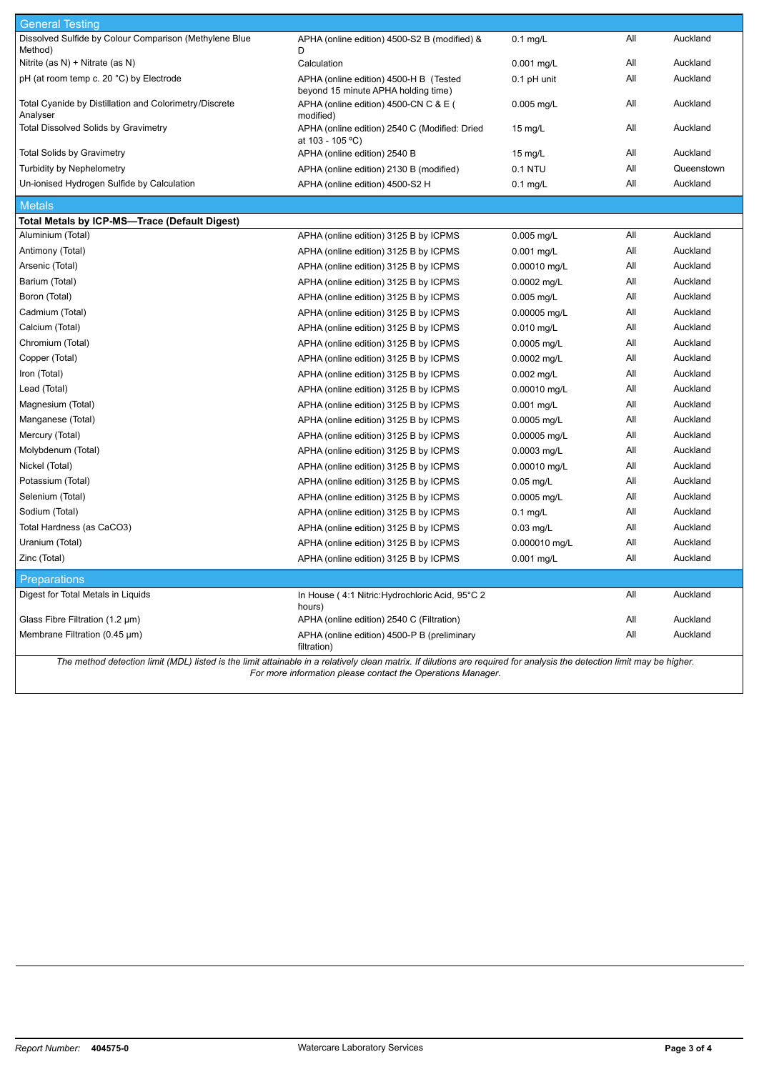| <b>General Testing</b>                                             |                                                                               |                   |     |            |
|--------------------------------------------------------------------|-------------------------------------------------------------------------------|-------------------|-----|------------|
| Dissolved Sulfide by Colour Comparison (Methylene Blue             | APHA (online edition) 4500-S2 B (modified) &                                  | $0.1$ mg/L        | All | Auckland   |
| Method)                                                            | D                                                                             |                   |     |            |
| Nitrite (as N) + Nitrate (as N)                                    | Calculation                                                                   | 0.001 mg/L        | All | Auckland   |
| pH (at room temp c. 20 °C) by Electrode                            | APHA (online edition) 4500-H B (Tested<br>beyond 15 minute APHA holding time) | 0.1 pH unit       | All | Auckland   |
| Total Cyanide by Distillation and Colorimetry/Discrete<br>Analyser | APHA (online edition) 4500-CN C & E (<br>modified)                            | $0.005$ mg/L      | All | Auckland   |
| <b>Total Dissolved Solids by Gravimetry</b>                        | APHA (online edition) 2540 C (Modified: Dried<br>at 103 - 105 °C)             | $15 \text{ mg/L}$ | All | Auckland   |
| <b>Total Solids by Gravimetry</b>                                  | APHA (online edition) 2540 B                                                  | 15 $mg/L$         | All | Auckland   |
| <b>Turbidity by Nephelometry</b>                                   | APHA (online edition) 2130 B (modified)                                       | 0.1 NTU           | All | Queenstown |
| Un-ionised Hydrogen Sulfide by Calculation                         | APHA (online edition) 4500-S2 H                                               | $0.1$ mg/L        | All | Auckland   |
| <b>Metals</b>                                                      |                                                                               |                   |     |            |
| Total Metals by ICP-MS-Trace (Default Digest)                      |                                                                               |                   |     |            |
| Aluminium (Total)                                                  | APHA (online edition) 3125 B by ICPMS                                         | $0.005$ mg/L      | All | Auckland   |
| Antimony (Total)                                                   | APHA (online edition) 3125 B by ICPMS                                         | $0.001$ mg/L      | All | Auckland   |
| Arsenic (Total)                                                    | APHA (online edition) 3125 B by ICPMS                                         | 0.00010 mg/L      | All | Auckland   |
| Barium (Total)                                                     | APHA (online edition) 3125 B by ICPMS                                         | 0.0002 mg/L       | All | Auckland   |
| Boron (Total)                                                      | APHA (online edition) 3125 B by ICPMS                                         | $0.005$ mg/L      | All | Auckland   |
| Cadmium (Total)                                                    | APHA (online edition) 3125 B by ICPMS                                         | 0.00005 mg/L      | All | Auckland   |
| Calcium (Total)                                                    | APHA (online edition) 3125 B by ICPMS                                         | $0.010$ mg/L      | All | Auckland   |
| Chromium (Total)                                                   | APHA (online edition) 3125 B by ICPMS                                         | 0.0005 mg/L       | All | Auckland   |
| Copper (Total)                                                     | APHA (online edition) 3125 B by ICPMS                                         | 0.0002 mg/L       | All | Auckland   |
| Iron (Total)                                                       | APHA (online edition) 3125 B by ICPMS                                         | $0.002$ mg/L      | All | Auckland   |
| Lead (Total)                                                       | APHA (online edition) 3125 B by ICPMS                                         | 0.00010 mg/L      | All | Auckland   |
| Magnesium (Total)                                                  | APHA (online edition) 3125 B by ICPMS                                         | 0.001 mg/L        | All | Auckland   |
| Manganese (Total)                                                  | APHA (online edition) 3125 B by ICPMS                                         | 0.0005 mg/L       | All | Auckland   |
| Mercury (Total)                                                    | APHA (online edition) 3125 B by ICPMS                                         | 0.00005 mg/L      | All | Auckland   |
| Molybdenum (Total)                                                 | APHA (online edition) 3125 B by ICPMS                                         | 0.0003 mg/L       | All | Auckland   |
| Nickel (Total)                                                     | APHA (online edition) 3125 B by ICPMS                                         | 0.00010 mg/L      | All | Auckland   |
| Potassium (Total)                                                  | APHA (online edition) 3125 B by ICPMS                                         | $0.05$ mg/L       | All | Auckland   |
| Selenium (Total)                                                   | APHA (online edition) 3125 B by ICPMS                                         | 0.0005 mg/L       | All | Auckland   |
| Sodium (Total)                                                     | APHA (online edition) 3125 B by ICPMS                                         | $0.1$ mg/L        | All | Auckland   |
| Total Hardness (as CaCO3)                                          | APHA (online edition) 3125 B by ICPMS                                         | $0.03$ mg/L       | All | Auckland   |
| Uranium (Total)                                                    | APHA (online edition) 3125 B by ICPMS                                         | 0.000010 mg/L     | All | Auckland   |
| Zinc (Total)                                                       | APHA (online edition) 3125 B by ICPMS                                         | 0.001 mg/L        | All | Auckland   |
| <b>Preparations</b>                                                |                                                                               |                   |     |            |
| Digest for Total Metals in Liquids                                 | In House (4:1 Nitric: Hydrochloric Acid, 95°C 2<br>hours)                     |                   | All | Auckland   |
| Glass Fibre Filtration $(1.2 \mu m)$                               | APHA (online edition) 2540 C (Filtration)                                     |                   | All | Auckland   |
| Membrane Filtration (0.45 µm)                                      | APHA (online edition) 4500-P B (preliminary                                   |                   | All | Auckland   |
|                                                                    | filtration)                                                                   |                   |     |            |

*The method detection limit (MDL) listed is the limit attainable in a relatively clean matrix. If dilutions are required for analysis the detection limit may be higher. For more information please contact the Operations Manager.*